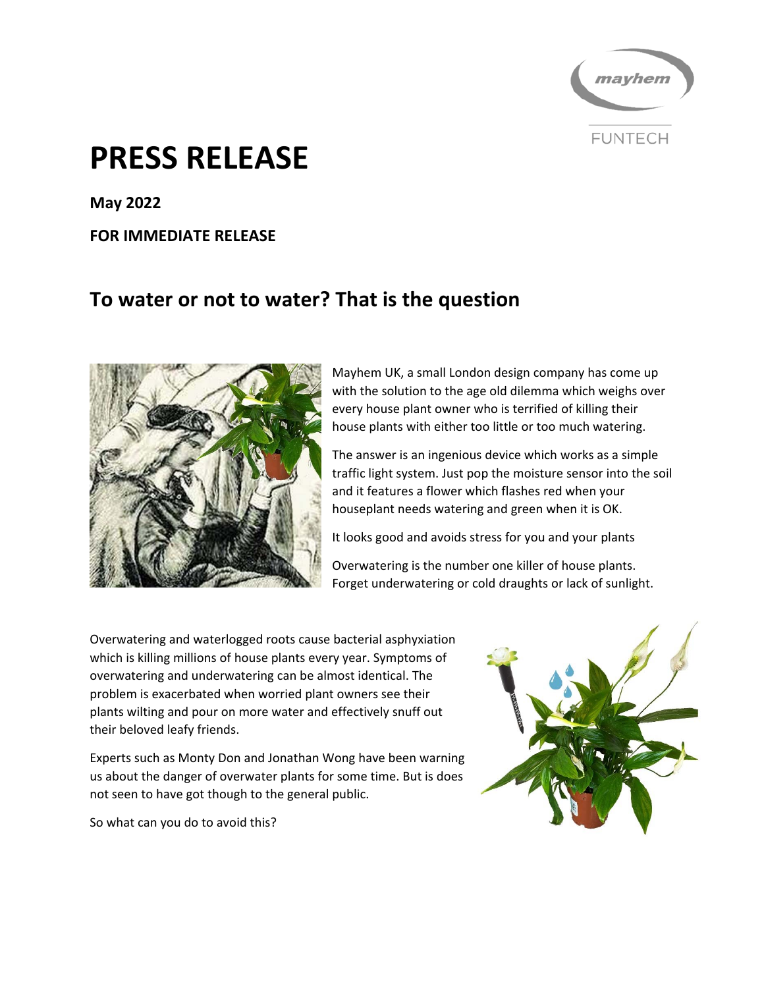

# **PRESS RELEASE**

**May 2022** 

#### **FOR IMMEDIATE RELEASE**

## **To water or not to water? That is the question**



Mayhem UK, a small London design company has come up with the solution to the age old dilemma which weighs over every house plant owner who is terrified of killing their house plants with either too little or too much watering.

The answer is an ingenious device which works as a simple traffic light system. Just pop the moisture sensor into the soil and it features a flower which flashes red when your houseplant needs watering and green when it is OK.

It looks good and avoids stress for you and your plants

Overwatering is the number one killer of house plants. Forget underwatering or cold draughts or lack of sunlight.

Overwatering and waterlogged roots cause bacterial asphyxiation which is killing millions of house plants every year. Symptoms of overwatering and underwatering can be almost identical. The problem is exacerbated when worried plant owners see their plants wilting and pour on more water and effectively snuff out their beloved leafy friends.

Experts such as Monty Don and Jonathan Wong have been warning us about the danger of overwater plants for some time. But is does not seen to have got though to the general public.

So what can you do to avoid this?